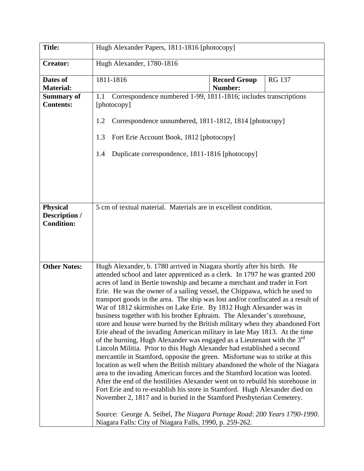| <b>Title:</b>                                         | Hugh Alexander Papers, 1811-1816 [photocopy]                                                                                                                                                                                                                                                                                                                                                                                                                                                                                                                                                                                                                                                                                                                                                                                                                                                                                                                                                                                                                                                                                                                                                                                                                                                                                                                                                                                                                                                                           |                                |               |  |  |
|-------------------------------------------------------|------------------------------------------------------------------------------------------------------------------------------------------------------------------------------------------------------------------------------------------------------------------------------------------------------------------------------------------------------------------------------------------------------------------------------------------------------------------------------------------------------------------------------------------------------------------------------------------------------------------------------------------------------------------------------------------------------------------------------------------------------------------------------------------------------------------------------------------------------------------------------------------------------------------------------------------------------------------------------------------------------------------------------------------------------------------------------------------------------------------------------------------------------------------------------------------------------------------------------------------------------------------------------------------------------------------------------------------------------------------------------------------------------------------------------------------------------------------------------------------------------------------------|--------------------------------|---------------|--|--|
| <b>Creator:</b>                                       | Hugh Alexander, 1780-1816                                                                                                                                                                                                                                                                                                                                                                                                                                                                                                                                                                                                                                                                                                                                                                                                                                                                                                                                                                                                                                                                                                                                                                                                                                                                                                                                                                                                                                                                                              |                                |               |  |  |
| Dates of<br><b>Material:</b>                          | 1811-1816                                                                                                                                                                                                                                                                                                                                                                                                                                                                                                                                                                                                                                                                                                                                                                                                                                                                                                                                                                                                                                                                                                                                                                                                                                                                                                                                                                                                                                                                                                              | <b>Record Group</b><br>Number: | <b>RG 137</b> |  |  |
| <b>Summary of</b><br><b>Contents:</b>                 | Correspondence numbered 1-99, 1811-1816; includes transcriptions<br>1.1<br>[photocopy]<br>Correspondence unnumbered, 1811-1812, 1814 [photocopy]<br>1.2                                                                                                                                                                                                                                                                                                                                                                                                                                                                                                                                                                                                                                                                                                                                                                                                                                                                                                                                                                                                                                                                                                                                                                                                                                                                                                                                                                |                                |               |  |  |
|                                                       | Fort Erie Account Book, 1812 [photocopy]<br>1.3                                                                                                                                                                                                                                                                                                                                                                                                                                                                                                                                                                                                                                                                                                                                                                                                                                                                                                                                                                                                                                                                                                                                                                                                                                                                                                                                                                                                                                                                        |                                |               |  |  |
|                                                       | Duplicate correspondence, 1811-1816 [photocopy]<br>1.4                                                                                                                                                                                                                                                                                                                                                                                                                                                                                                                                                                                                                                                                                                                                                                                                                                                                                                                                                                                                                                                                                                                                                                                                                                                                                                                                                                                                                                                                 |                                |               |  |  |
|                                                       |                                                                                                                                                                                                                                                                                                                                                                                                                                                                                                                                                                                                                                                                                                                                                                                                                                                                                                                                                                                                                                                                                                                                                                                                                                                                                                                                                                                                                                                                                                                        |                                |               |  |  |
| <b>Physical</b><br>Description /<br><b>Condition:</b> | 5 cm of textual material. Materials are in excellent condition.                                                                                                                                                                                                                                                                                                                                                                                                                                                                                                                                                                                                                                                                                                                                                                                                                                                                                                                                                                                                                                                                                                                                                                                                                                                                                                                                                                                                                                                        |                                |               |  |  |
| <b>Other Notes:</b>                                   | Hugh Alexander, b. 1780 arrived in Niagara shortly after his birth. He<br>attended school and later apprenticed as a clerk. In 1797 he was granted 200<br>acres of land in Bertie township and became a merchant and trader in Fort<br>Erie. He was the owner of a sailing vessel, the Chippawa, which he used to<br>transport goods in the area. The ship was lost and/or confiscated as a result of<br>War of 1812 skirmishes on Lake Erie. By 1812 Hugh Alexander was in<br>business together with his brother Ephraim. The Alexander's storehouse,<br>store and house were burned by the British military when they abandoned Fort<br>Erie ahead of the invading American military in late May 1813. At the time<br>of the burning, Hugh Alexander was engaged as a Lieutenant with the 3 <sup>rd</sup><br>Lincoln Militia. Prior to this Hugh Alexander had established a second<br>mercantile in Stamford, opposite the green. Misfortune was to strike at this<br>location as well when the British military abandoned the whole of the Niagara<br>area to the invading American forces and the Stamford location was looted.<br>After the end of the hostilities Alexander went on to rebuild his storehouse in<br>Fort Erie and to re-establish his store in Stamford. Hugh Alexander died on<br>November 2, 1817 and is buried in the Stamford Presbyterian Cemetery.<br>Source: George A. Seibel, The Niagara Portage Road: 200 Years 1790-1990.<br>Niagara Falls: City of Niagara Falls, 1990, p. 259-262. |                                |               |  |  |